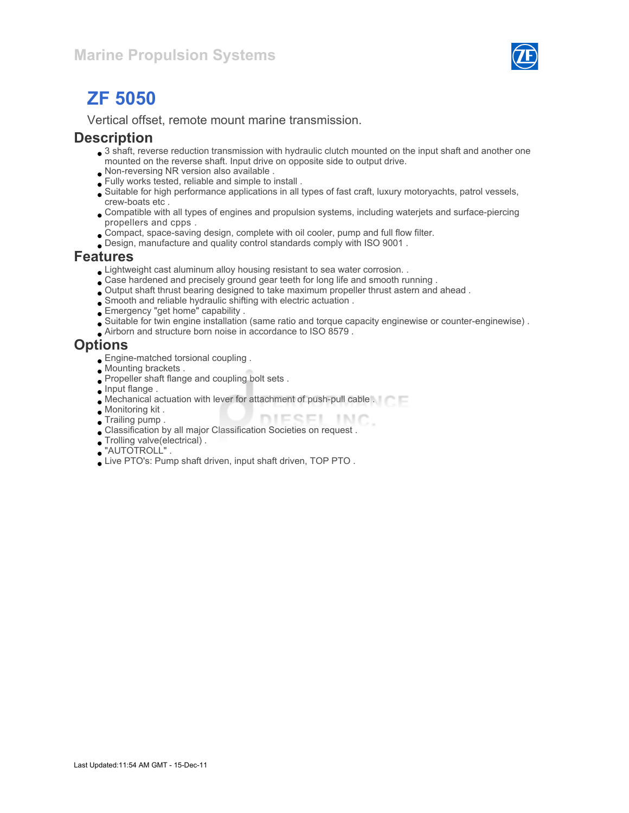

# ZF 5050

Vertical offset, remote mount marine transmission.

#### **Description**

- 3 shaft, reverse reduction transmission with hydraulic clutch mounted on the input shaft and another one mounted on the reverse shaft. Input drive on opposite side to output drive.
- Non-reversing NR version also available .
- Fully works tested, reliable and simple to install .
- Suitable for high performance applications in all types of fast craft, luxury motoryachts, patrol vessels, crew-boats etc .
- Compatible with all types of engines and propulsion systems, including waterjets and surface-piercing propellers and cpps .
- Compact, space-saving design, complete with oil cooler, pump and full flow filter.
- Design, manufacture and quality control standards comply with ISO 9001 .

#### Features

- Lightweight cast aluminum alloy housing resistant to sea water corrosion. .
- Case hardened and precisely ground gear teeth for long life and smooth running .
- Output shaft thrust bearing designed to take maximum propeller thrust astern and ahead .
- Smooth and reliable hydraulic shifting with electric actuation .
- Emergency "get home" capability .
- Suitable for twin engine installation (same ratio and torque capacity enginewise or counter-enginewise) .
- Airborn and structure born noise in accordance to ISO 8579 .

#### **Options**

- Engine-matched torsional coupling .
- Mounting brackets .
- Propeller shaft flange and coupling bolt sets .
- **Input flange**.
- Mechanical actuation with lever for attachment of push-pull cable .
- Monitoring kit .
- DIESEL INC. Trailing pump .
- Classification by all major Classification Societies on request .
- Trolling valve(electrical) .
- "AUTOTROLL" .
- Live PTO's: Pump shaft driven, input shaft driven, TOP PTO .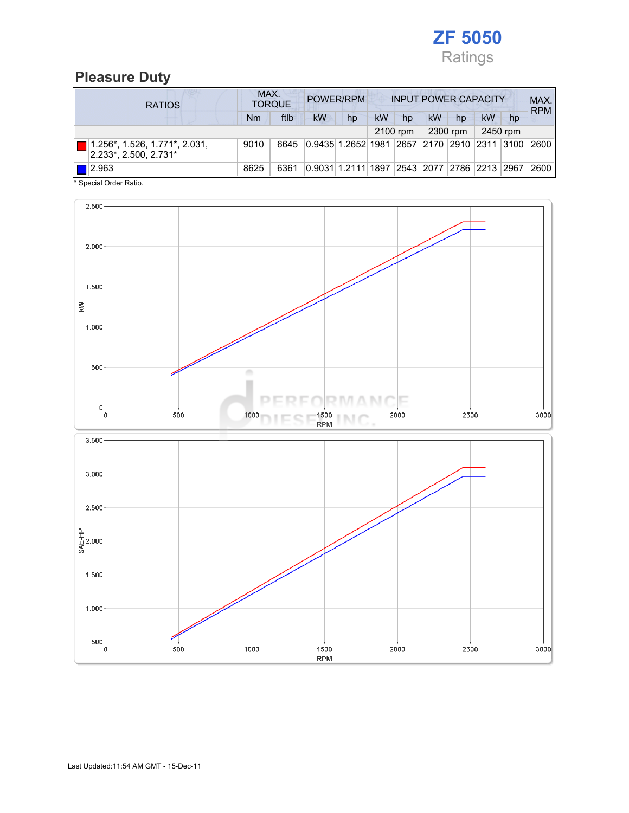

# Pleasure Duty

| <b>RATIOS</b>                                          | MAX.<br><b>TORQUE</b> | POWER/RPM<br><b>INPUT POWER CAPACITY</b> |           |                                                  |           |            |    | MAX.<br><b>RPM</b> |    |          |      |
|--------------------------------------------------------|-----------------------|------------------------------------------|-----------|--------------------------------------------------|-----------|------------|----|--------------------|----|----------|------|
|                                                        | Nm                    | ftlb                                     | <b>kW</b> | hp                                               | <b>kW</b> | hp         | kW | hp                 | kW | hp       |      |
|                                                        |                       |                                          |           |                                                  |           | $2100$ rpm |    | 2300 rpm           |    | 2450 rpm |      |
| 1.256*, 1.526, 1.771*, 2.031,<br>2.233*, 2.500, 2.731* | 9010                  | 6645                                     |           | 0.9435 1.2652 1981  2657  2170  2910  2311  3100 |           |            |    |                    |    |          | 2600 |
| $\blacksquare$ 2.963                                   | 8625                  | 6361                                     |           | 0.9031 1.2111 1897  2543  2077  2786  2213  2967 |           |            |    |                    |    |          | 2600 |

\* Special Order Ratio.

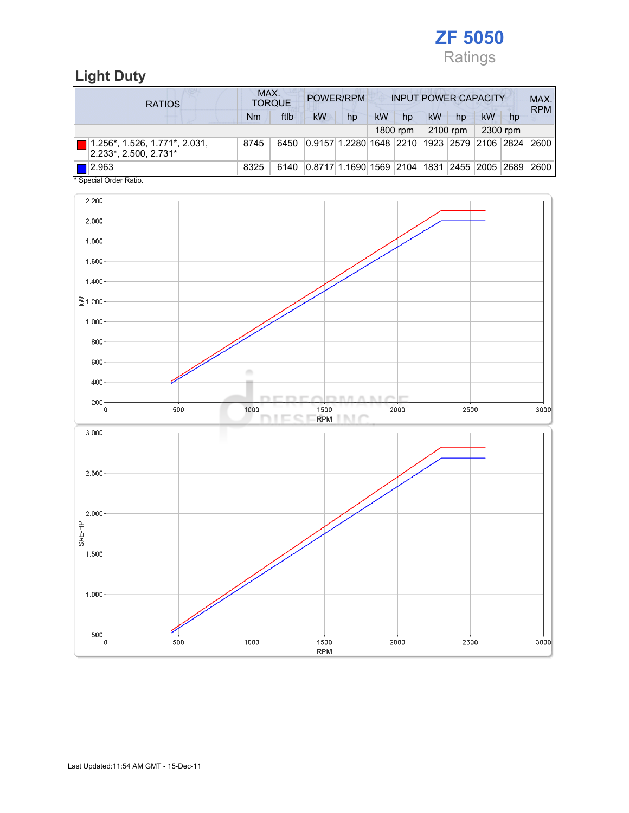

# Light Duty

| <b>RATIOS</b>                                                   | MAX.<br>POWER/RPM<br><b>INPUT POWER CAPACITY</b><br><b>TORQUE</b> |      |                                             |    |    |          |    |          |    | MAX.<br><b>RPM</b> |      |
|-----------------------------------------------------------------|-------------------------------------------------------------------|------|---------------------------------------------|----|----|----------|----|----------|----|--------------------|------|
|                                                                 | Nm                                                                | ftlb | <b>kW</b>                                   | hp | kW | hp       | kW | hp       | kW | hp                 |      |
|                                                                 |                                                                   |      |                                             |    |    | 1800 rpm |    | 2100 rpm |    | 2300 rpm           |      |
| $1.256^*$ , 1.526, 1.771 $^*$ , 2.031,<br>2.233*, 2.500, 2.731* | 8745                                                              | 6450 | 0.9157 1.2280 1648 2210 1923 2579 2106 2824 |    |    |          |    |          |    |                    | 2600 |
| 2.963<br>$*$ On a stall Onder Defter                            | 8325                                                              | 6140 | 0.8717 1.1690 1569 2104 1831 2455 2005 2689 |    |    |          |    |          |    |                    | 2600 |

Special Order Ratio.

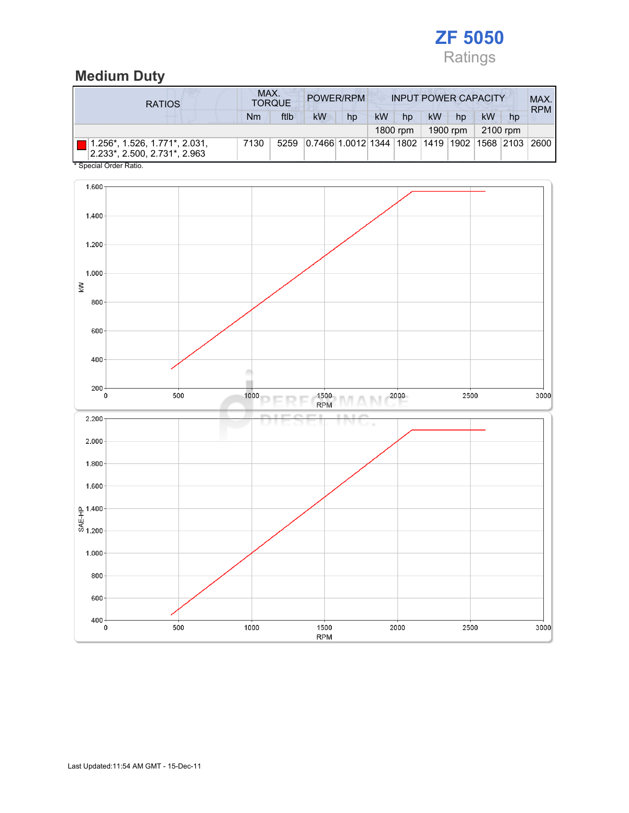

# Medium Duty

| <b>RATIOS</b>                                                                | MAX.<br>POWER/RPM<br><b>INPUT POWER CAPACITY</b><br><b>TORQUE</b> |      |                                                         |    |    |          |           |          |          |    | MAX.<br><b>RPM</b> |
|------------------------------------------------------------------------------|-------------------------------------------------------------------|------|---------------------------------------------------------|----|----|----------|-----------|----------|----------|----|--------------------|
|                                                                              | Nm                                                                | ftlb | <b>kW</b>                                               | hp | kW | hp       | <b>kW</b> | hp       | kW       | hp |                    |
|                                                                              |                                                                   |      |                                                         |    |    | 1800 rpm |           | 1900 rpm | 2100 rpm |    |                    |
| $\blacksquare$ 1.256*, 1.526, 1.771*, 2.031,<br>2.233*. 2.500. 2.731*. 2.963 | 7130                                                              | 5259 | 0.7466 1.0012 1344  1802  1419  1902  1568  2103   2600 |    |    |          |           |          |          |    |                    |
| * Special Order Ratio.                                                       |                                                                   |      |                                                         |    |    |          |           |          |          |    |                    |

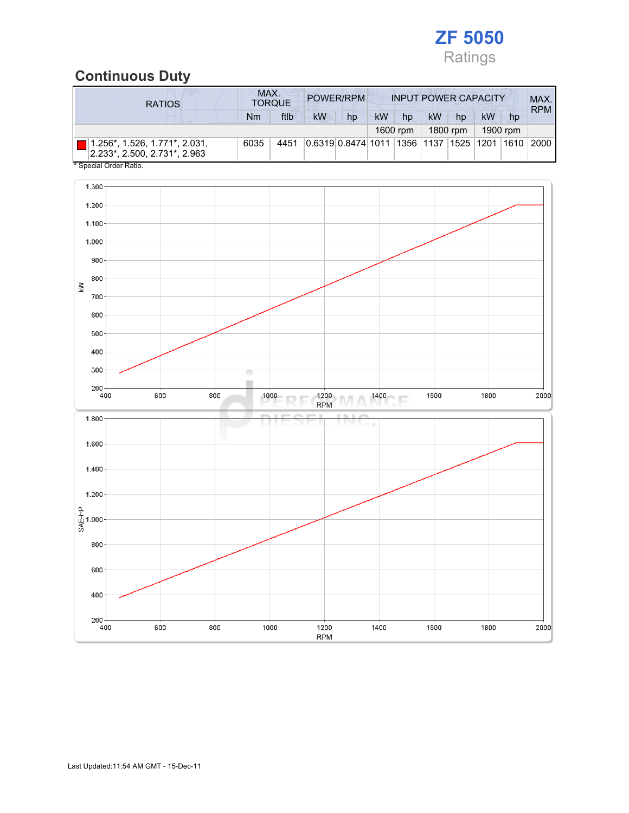

# Continuous Duty

| <b>RATIOS</b>                                                       | MAX. | <b>TORQUE</b> |    | POWER/RPM                                               |           |          |    | <b>INPUT POWER CAPACITY</b> |    |          | MAX.<br><b>RPM</b> |
|---------------------------------------------------------------------|------|---------------|----|---------------------------------------------------------|-----------|----------|----|-----------------------------|----|----------|--------------------|
|                                                                     | Nm   | ftlb          | kW | hp                                                      | <b>kW</b> | hp       | kW | hp                          | kW | hp       |                    |
|                                                                     |      |               |    |                                                         |           | 1600 rpm |    | 1800 rpm                    |    | 1900 rpm |                    |
| $  1.256^*$ , 1.526, 1.771*, 2.031,<br>2.233*, 2.500, 2.731*, 2.963 | 6035 | 4451          |    | 0.6319 0.8474 1011  1356  1137  1525  1201  1610   2000 |           |          |    |                             |    |          |                    |
| * Special Order Ratio.                                              |      |               |    |                                                         |           |          |    |                             |    |          |                    |

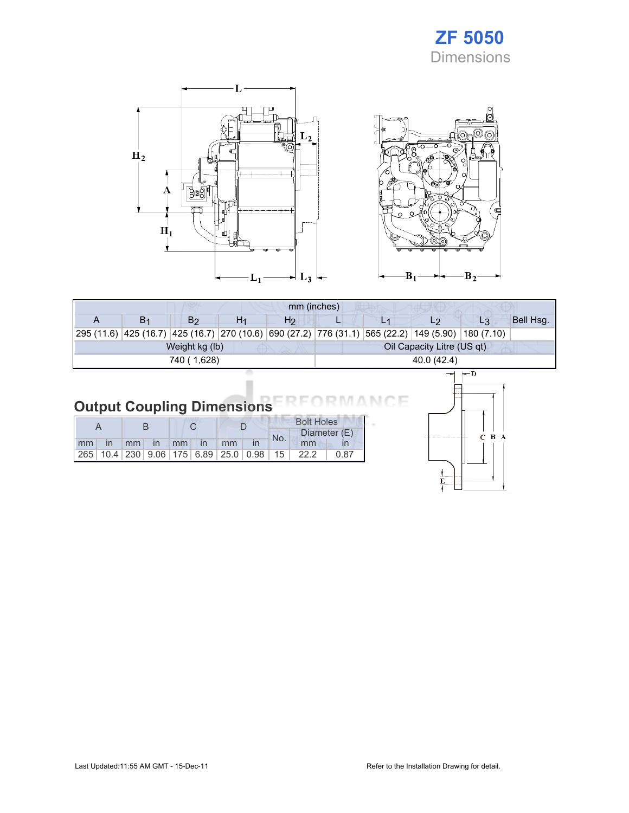# ZF 5050 Dimensions





| mm (inches) |                |                |    |                |             |  |                            |                                                                                                    |           |  |  |
|-------------|----------------|----------------|----|----------------|-------------|--|----------------------------|----------------------------------------------------------------------------------------------------|-----------|--|--|
|             | B <sub>1</sub> | B <sub>2</sub> | H1 | H <sub>2</sub> |             |  | L2                         | $L_3$                                                                                              | Bell Hsg. |  |  |
|             |                |                |    |                |             |  |                            | 295 (11.6) 425 (16.7) 425 (16.7) 270 (10.6) 690 (27.2) 776 (31.1) 565 (22.2) 149 (5.90) 180 (7.10) |           |  |  |
|             |                | Weight kg (lb) |    |                |             |  | Oil Capacity Litre (US qt) |                                                                                                    |           |  |  |
|             |                | 740 (1,628)    |    |                | 40.0 (42.4) |  |                            |                                                                                                    |           |  |  |
|             |                |                |    |                |             |  |                            | $\leftarrow$ n                                                                                     |           |  |  |

#### Output Coupling Dimensions ìΕ N 6

|       |  |  |  |                |  | <b>Bolt Holes</b> |                                                                        |      |
|-------|--|--|--|----------------|--|-------------------|------------------------------------------------------------------------|------|
|       |  |  |  |                |  | No.               | Diameter (E)                                                           |      |
| mm in |  |  |  | mm in mm in mm |  |                   | mm                                                                     |      |
|       |  |  |  |                |  |                   | $\vert$ 265   10.4   230   9.06   175   6.89   25.0   0.98   15   22.2 | 0.87 |